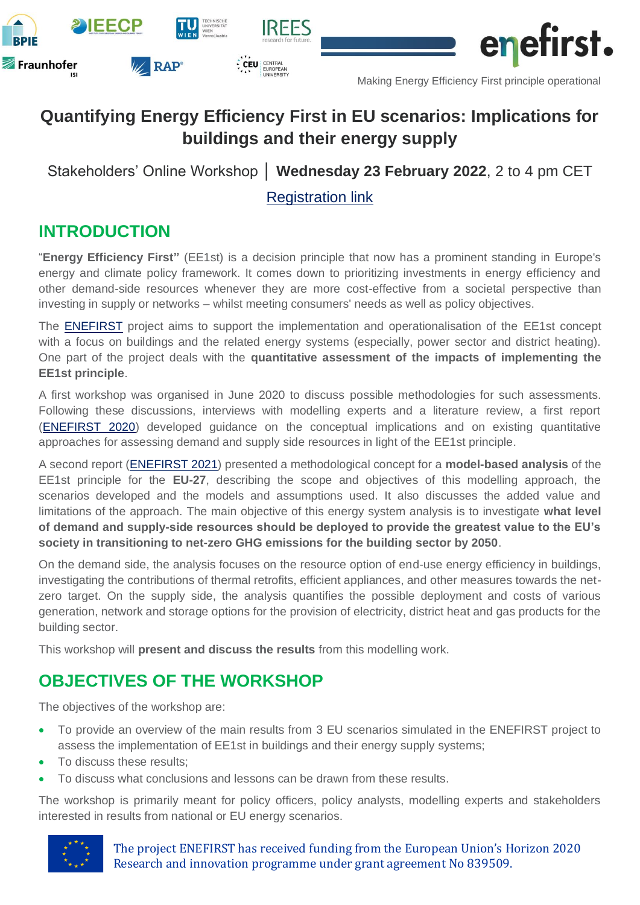





Making Energy Efficiency First principle operational

# **Quantifying Energy Efficiency First in EU scenarios: Implications for buildings and their energy supply**

**IRFFS** 

CEU CENTRAL

Stakeholders' Online Workshop │ **Wednesday 23 February 2022**, 2 to 4 pm CET

### [Registration link](https://teams.microsoft.com/registration/DqfdQsySsUeHmFHlq3ekaQ,Oz07M300l02P7bx9k7u4Ew,J_0hfN-fEkqM_eW7u_somA,p9IliXpPl0Gg6GMrzFhloQ,TFADZlB7-0Op-lXn1qh7NQ,p8cdxLWznU2L3Cn-WAsvFA?mode=read&tenantId=42dda70e-92cc-47b1-8798-51e5ab77a469)

## **INTRODUCTION**

"**Energy Efficiency First"** (EE1st) is a decision principle that now has a prominent standing in Europe's energy and climate policy framework. It comes down to prioritizing investments in energy efficiency and other demand-side resources whenever they are more cost-effective from a societal perspective than investing in supply or networks – whilst meeting consumers' needs as well as policy objectives.

The [ENEFIRST](https://enefirst.eu/) project aims to support the implementation and operationalisation of the EE1st concept with a focus on buildings and the related energy systems (especially, power sector and district heating). One part of the project deals with the **quantitative assessment of the impacts of implementing the EE1st principle**.

A first workshop was organised in June 2020 to discuss possible methodologies for such assessments. Following these discussions, interviews with modelling experts and a literature review, a first report [\(ENEFIRST 2020\)](https://enefirst.eu/wp-content/uploads/D3.1_QuantitativeApproaches.pdf) developed guidance on the conceptual implications and on existing quantitative approaches for assessing demand and supply side resources in light of the EE1st principle.

A second report [\(ENEFIRST 2021\)](https://enefirst.eu/wp-content/uploads/D3.2_ModelConceptDevelopment-1.pdf) presented a methodological concept for a **model-based analysis** of the EE1st principle for the **EU-27**, describing the scope and objectives of this modelling approach, the scenarios developed and the models and assumptions used. It also discusses the added value and limitations of the approach. The main objective of this energy system analysis is to investigate **what level of demand and supply-side resources should be deployed to provide the greatest value to the EU's society in transitioning to net-zero GHG emissions for the building sector by 2050**.

On the demand side, the analysis focuses on the resource option of end-use energy efficiency in buildings, investigating the contributions of thermal retrofits, efficient appliances, and other measures towards the netzero target. On the supply side, the analysis quantifies the possible deployment and costs of various generation, network and storage options for the provision of electricity, district heat and gas products for the building sector.

This workshop will **present and discuss the results** from this modelling work.

### **OBJECTIVES OF THE WORKSHOP**

The objectives of the workshop are:

- To provide an overview of the main results from 3 EU scenarios simulated in the ENEFIRST project to assess the implementation of EE1st in buildings and their energy supply systems;
- To discuss these results;
- To discuss what conclusions and lessons can be drawn from these results.

The workshop is primarily meant for policy officers, policy analysts, modelling experts and stakeholders interested in results from national or EU energy scenarios.